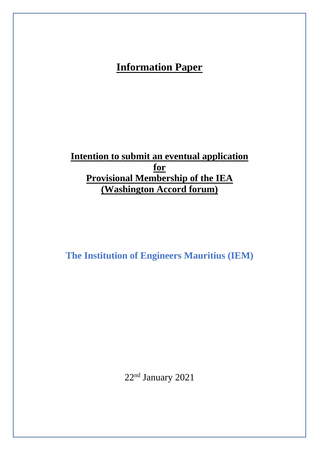# **Information Paper**

**Intention to submit an eventual application for Provisional Membership of the IEA (Washington Accord forum)**

**The Institution of Engineers Mauritius (IEM)** 

22<sup>nd</sup> January 2021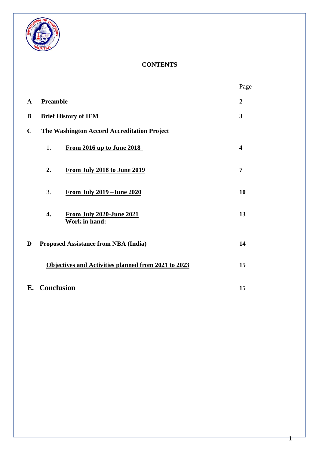

## **CONTENTS**

|              |                                                     |                                                  | Page                    |
|--------------|-----------------------------------------------------|--------------------------------------------------|-------------------------|
| $\mathbf{A}$ | <b>Preamble</b>                                     |                                                  | $\overline{2}$          |
| B            | <b>Brief History of IEM</b>                         |                                                  | 3                       |
| $\mathbf C$  | The Washington Accord Accreditation Project         |                                                  |                         |
|              | 1.                                                  | From 2016 up to June 2018                        | $\overline{\mathbf{4}}$ |
|              | 2.                                                  | From July 2018 to June 2019                      | $\overline{7}$          |
|              | 3.                                                  | <u>From July 2019 - June 2020</u>                | 10                      |
|              | $\overline{4}$ .                                    | <b>From July 2020-June 2021</b><br>Work in hand: | 13                      |
| D            | <b>Proposed Assistance from NBA (India)</b>         |                                                  | 14                      |
|              | Objectives and Activities planned from 2021 to 2023 |                                                  | 15                      |
|              | E. Conclusion                                       |                                                  |                         |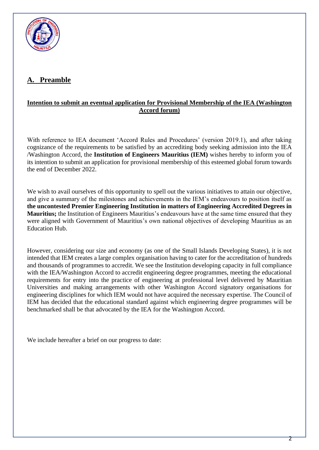

# **A. Preamble**

### **Intention to submit an eventual application for Provisional Membership of the IEA (Washington Accord forum)**

With reference to IEA document 'Accord Rules and Procedures' (version 2019.1), and after taking cognizance of the requirements to be satisfied by an accrediting body seeking admission into the IEA /Washington Accord, the **Institution of Engineers Mauritius (IEM)** wishes hereby to inform you of its intention to submit an application for provisional membership of this esteemed global forum towards the end of December 2022.

We wish to avail ourselves of this opportunity to spell out the various initiatives to attain our objective, and give a summary of the milestones and achievements in the IEM's endeavours to position itself as **the uncontested Premier Engineering Institution in matters of Engineering Accredited Degrees in Mauritius;** the Institution of Engineers Mauritius's endeavours have at the same time ensured that they were aligned with Government of Mauritius's own national objectives of developing Mauritius as an Education Hub.

However, considering our size and economy (as one of the Small Islands Developing States), it is not intended that IEM creates a large complex organisation having to cater for the accreditation of hundreds and thousands of programmes to accredit. We see the Institution developing capacity in full compliance with the IEA/Washington Accord to accredit engineering degree programmes, meeting the educational requirements for entry into the practice of engineering at professional level delivered by Mauritian Universities and making arrangements with other Washington Accord signatory organisations for engineering disciplines for which IEM would not have acquired the necessary expertise. The Council of IEM has decided that the educational standard against which engineering degree programmes will be benchmarked shall be that advocated by the IEA for the Washington Accord.

We include hereafter a brief on our progress to date: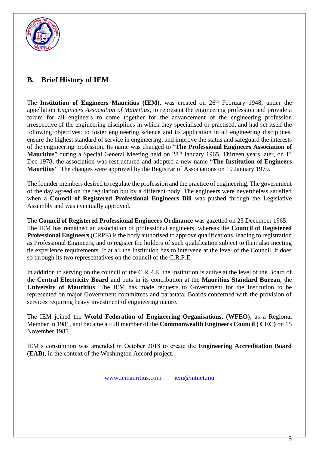

# **B. Brief History of IEM**

The **Institution of Engineers Mauritius (IEM),** was created on 26th February 1948, under the appellation *Engineers Association of Mauritius*, to represent the engineering profession and provide a forum for all engineers to come together for the advancement of the engineering profession irrespective of the engineering disciplines in which they specialised or practised, and had set itself the following objectives: to foster engineering science and its application in all engineering disciplines, ensure the highest standard of service in engineering, and improve the status and safeguard the interests of the engineering profession. Its name was changed to "**The Professional Engineers Association of** Mauritius" during a Special General Meeting held on 28<sup>th</sup> January 1965. Thirteen years later, on 1<sup>st</sup> Dec 1978, the association was restructured and adopted a new name "**The Institution of Engineers Mauritius**". The changes were approved by the Registrar of Associations on 19 January 1979.

The founder members desired to regulate the profession and the practice of engineering. The government of the day agreed on the regulation but by a different body. The engineers were nevertheless satisfied when a **Council of Registered Professional Engineers Bill** was pushed through the Legislative Assembly and was eventually approved.

The **Council of Registered Professional Engineers Ordinance** was gazetted on 23 December 1965. The IEM has remained an association of professional engineers, whereas the **Council of Registered Professional Engineers** (CRPE) is the body authorised to approve qualifications, leading to registration as Professional Engineers, and to register the holders of such qualification subject to their also meeting tie experience requirements. If at all the Institution has to intervene at the level of the Council, it does so through its two representatives on the council of the C.R.P.E.

In addition to serving on the council of the C.R.P.E. the Institution is active at the level of the Board of the **Central Electricity Board** and puts in its contribution at the **Mauritius Standard Bureau**, the **University of Mauritius**. The IEM has made requests to Government for the Institution to be represented on major Government committees and parastatal Boards concerned with the provision of services requiring heavy investment of engineering nature.

The IEM joined the **World Federation of Engineering Organisations, (WFEO)**, as a Regional Member in 1981, and became a Full member of the **Commonwealth Engineers Council ( CEC)** on 15 November 1985.

IEM's constitution was amended in October 2018 to create the **Engineering Accreditation Board** (**EAB)**, in the context of the Washington Accord project.

[www.iemauritius.com](http://www.iemauritius.com/) [iem@intnet.mu](mailto:iem@intnet.mu)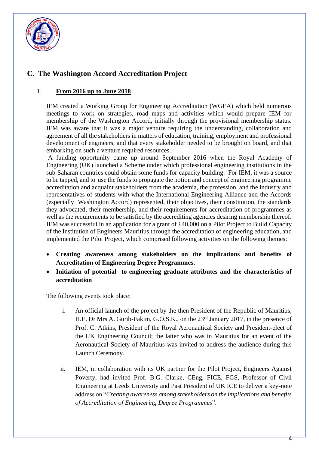

# **C. The Washington Accord Accreditation Project**

### 1. **From 2016 up to June 2018**

IEM created a Working Group for Engineering Accreditation (WGEA) which held numerous meetings to work on strategies, road maps and activities which would prepare IEM for membership of the Washington Accord, initially through the provisional membership status. IEM was aware that it was a major venture requiring the understanding, collaboration and agreement of all the stakeholders in matters of education, training, employment and professional development of engineers, and that every stakeholder needed to be brought on board, and that embarking on such a venture required resources.

A funding opportunity came up around September 2016 when the Royal Academy of Engineering (UK) launched a Scheme under which professional engineering institutions in the sub-Saharan countries could obtain some funds for capacity building. For IEM, it was a source to be tapped, and to use the funds to propagate the notion and concept of engineering programme accreditation and acquaint stakeholders from the academia, the profession, and the industry and representatives of students with what the International Engineering Alliance and the Accords (especially Washington Accord) represented, their objectives, their constitution, the standards they advocated, their membership, and their requirements for accreditation of programmes as well as the requirements to be satisfied by the accrediting agencies desiring membership thereof. IEM was successful in an application for a grant of £40,000 on a Pilot Project to Build Capacity of the Institution of Engineers Mauritius through the accreditation of engineering education, and implemented the Pilot Project, which comprised following activities on the following themes:

- **Creating awareness among stakeholders on the implications and benefits of Accreditation of Engineering Degree Programmes.**
- **Initiation of potential to engineering graduate attributes and the characteristics of accreditation**

The following events took place:

- i. An official launch of the project by the then President of the Republic of Mauritius, H.E. Dr Mrs A. Gurib-Fakim, G.O.S.K., on the 23rd January 2017, in the presence of Prof. C. Atkins, President of the Royal Aeronautical Society and President-elect of the UK Engineering Council; the latter who was in Mauritius for an event of the Aeronautical Society of Mauritius was invited to address the audience during this Launch Ceremony.
- ii. IEM, in collaboration with its UK partner for the Pilot Project, Engineers Against Poverty, had invited Prof. B.G. Clarke, CEng, FICE, FGS, Professor of Civil Engineering at Leeds University and Past President of UK ICE to deliver a key-note address on "*Creating awareness among stakeholders on the implications and benefits of Accreditation of Engineering Degree Programmes*".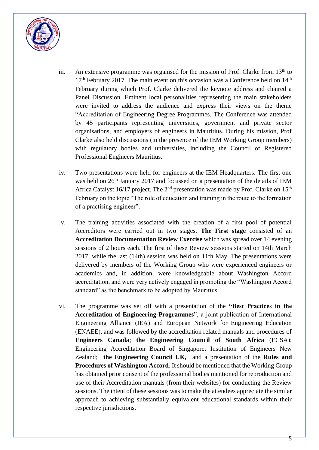

- iii. An extensive programme was organised for the mission of Prof. Clarke from  $13<sup>th</sup>$  to  $17<sup>th</sup>$  February 2017. The main event on this occasion was a Conference held on  $14<sup>th</sup>$ February during which Prof. Clarke delivered the keynote address and chaired a Panel Discussion. Eminent local personalities representing the main stakeholders were invited to address the audience and express their views on the theme "Accreditation of Engineering Degree Programmes. The Conference was attended by 45 participants representing universities, government and private sector organisations, and employers of engineers in Mauritius. During his mission, Prof Clarke also held discussions (in the presence of the IEM Working Group members) with regulatory bodies and universities, including the Council of Registered Professional Engineers Mauritius.
- iv. Two presentations were held for engineers at the IEM Headquarters. The first one was held on  $26<sup>th</sup>$  January 2017 and focussed on a presentation of the details of IEM Africa Catalyst 16/17 project. The  $2<sup>nd</sup>$  presentation was made by Prof. Clarke on 15<sup>th</sup> February on the topic "The role of education and training in the route to the formation of a practising engineer".
- v. The training activities associated with the creation of a first pool of potential Accreditors were carried out in two stages. **The First stage** consisted of an **Accreditation Documentation Review Exercise** which was spread over 14 evening sessions of 2 hours each. The first of these Review sessions started on 14th March 2017, while the last (14th) session was held on 11th May. The presentations were delivered by members of the Working Group who were experienced engineers or academics and, in addition, were knowledgeable about Washington Accord accreditation, and were very actively engaged in promoting the "Washington Accord standard" as the benchmark to be adopted by Mauritius.
- vi. The programme was set off with a presentation of the **"Best Practices in the Accreditation of Engineering Programmes**", a joint publication of International Engineering Alliance (IEA) and European Network for Engineering Education (ENAEE), and was followed by the accreditation related manuals and procedures of **Engineers Canada**; **the Engineering Council of South Africa** (ECSA); Engineering Accreditation Board of Singapore; Institution of Engineers New Zealand; **the Engineering Council UK,** and a presentation of the **Rules and Procedures of Washington Accord**. It should be mentioned that the Working Group has obtained prior consent of the professional bodies mentioned for reproduction and use of their Accreditation manuals (from their websites) for conducting the Review sessions. The intent of these sessions was to make the attendees appreciate the similar approach to achieving substantially equivalent educational standards within their respective jurisdictions.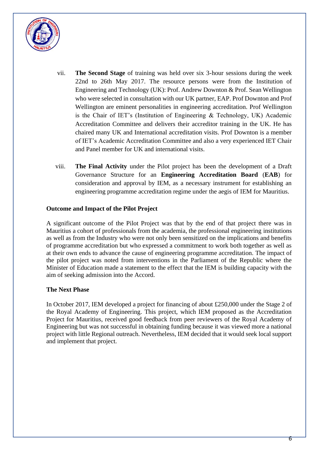

- vii. **The Second Stage** of training was held over six 3-hour sessions during the week 22nd to 26th May 2017. The resource persons were from the Institution of Engineering and Technology (UK): Prof. Andrew Downton & Prof. Sean Wellington who were selected in consultation with our UK partner, EAP. Prof Downton and Prof Wellington are eminent personalities in engineering accreditation. Prof Wellington is the Chair of IET's (Institution of Engineering & Technology, UK) Academic Accreditation Committee and delivers their accreditor training in the UK. He has chaired many UK and International accreditation visits. Prof Downton is a member of IET's Academic Accreditation Committee and also a very experienced IET Chair and Panel member for UK and international visits.
- viii. **The Final Activity** under the Pilot project has been the development of a Draft Governance Structure for an **Engineering Accreditation Board** (**EAB**) for consideration and approval by IEM, as a necessary instrument for establishing an engineering programme accreditation regime under the aegis of IEM for Mauritius.

### **Outcome and Impact of the Pilot Project**

A significant outcome of the Pilot Project was that by the end of that project there was in Mauritius a cohort of professionals from the academia, the professional engineering institutions as well as from the Industry who were not only been sensitized on the implications and benefits of programme accreditation but who expressed a commitment to work both together as well as at their own ends to advance the cause of engineering programme accreditation. The impact of the pilot project was noted from interventions in the Parliament of the Republic where the Minister of Education made a statement to the effect that the IEM is building capacity with the aim of seeking admission into the Accord.

#### **The Next Phase**

In October 2017, IEM developed a project for financing of about £250,000 under the Stage 2 of the Royal Academy of Engineering. This project, which IEM proposed as the Accreditation Project for Mauritius, received good feedback from peer reviewers of the Royal Academy of Engineering but was not successful in obtaining funding because it was viewed more a national project with little Regional outreach. Nevertheless, IEM decided that it would seek local support and implement that project.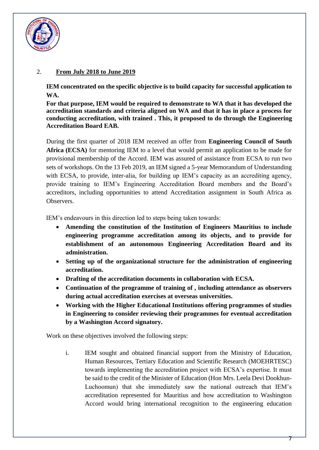

### 2. **From July 2018 to June 2019**

**IEM concentrated on the specific objective is to build capacity for successful application to WA.**

**For that purpose, IEM would be required to demonstrate to WA that it has developed the accreditation standards and criteria aligned on WA and that it has in place a process for conducting accreditation, with trained . This, it proposed to do through the Engineering Accreditation Board EAB.**

During the first quarter of 2018 IEM received an offer from **Engineering Council of South Africa (ECSA)** for mentoring IEM to a level that would permit an application to be made for provisional membership of the Accord. IEM was assured of assistance from ECSA to run two sets of workshops. On the 13 Feb 2019, an IEM signed a 5-year Memorandum of Understanding with ECSA, to provide, inter-alia, for building up IEM's capacity as an accrediting agency, provide training to IEM's Engineering Accreditation Board members and the Board's accreditors, including opportunities to attend Accreditation assignment in South Africa as Observers.

IEM's endeavours in this direction led to steps being taken towards:

- **Amending the constitution of the Institution of Engineers Mauritius to include engineering programme accreditation among its objects, and to provide for establishment of an autonomous Engineering Accreditation Board and its administration.**
- **Setting up of the organizational structure for the administration of engineering accreditation.**
- **Drafting of the accreditation documents in collaboration with ECSA.**
- **Continuation of the programme of training of , including attendance as observers during actual accreditation exercises at overseas universities.**
- **Working with the Higher Educational Institutions offering programmes of studies in Engineering to consider reviewing their programmes for eventual accreditation by a Washington Accord signatory.**

Work on these objectives involved the following steps:

i. IEM sought and obtained financial support from the Ministry of Education, Human Resources, Tertiary Education and Scientific Research (MOEHRTESC) towards implementing the accreditation project with ECSA's expertise. It must be said to the credit of the Minister of Education (Hon Mrs. Leela Devi Dookhun-Luchoomun) that she immediately saw the national outreach that IEM's accreditation represented for Mauritius and how accreditation to Washington Accord would bring international recognition to the engineering education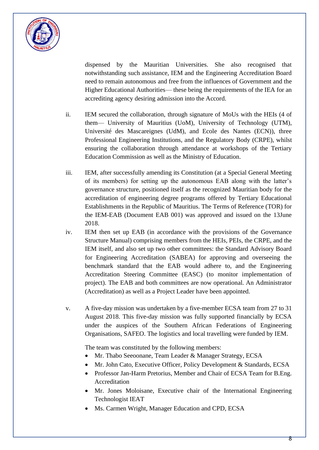

dispensed by the Mauritian Universities. She also recognised that notwithstanding such assistance, IEM and the Engineering Accreditation Board need to remain autonomous and free from the influences of Government and the Higher Educational Authorities— these being the requirements of the IEA for an accrediting agency desiring admission into the Accord.

- ii. IEM secured the collaboration, through signature of MoUs with the HEIs (4 of them— University of Mauritius (UoM), University of Technology (UTM), Université des Mascareignes (UdM), and Ecole des Nantes (ECN)), three Professional Engineering Institutions, and the Regulatory Body (CRPE), whilst ensuring the collaboration through attendance at workshops of the Tertiary Education Commission as well as the Ministry of Education.
- iii. IEM, after successfully amending its Constitution (at a Special General Meeting of its members) for setting up the autonomous EAB along with the latter's governance structure, positioned itself as the recognized Mauritian body for the accreditation of engineering degree programs offered by Tertiary Educational Establishments in the Republic of Mauritius. The Terms of Reference (TOR) for the IEM-EAB (Document EAB 001) was approved and issued on the 13June 2018.
- iv. IEM then set up EAB (in accordance with the provisions of the Governance Structure Manual) comprising members from the HEIs, PEIs, the CRPE, and the IEM itself, and also set up two other committees: the Standard Advisory Board for Engineering Accreditation (SABEA) for approving and overseeing the benchmark standard that the EAB would adhere to, and the Engineering Accreditation Steering Committee (EASC) (to monitor implementation of project). The EAB and both committees are now operational. An Administrator (Accreditation) as well as a Project Leader have been appointed.
- v. A five-day mission was undertaken by a five-member ECSA team from 27 to 31 August 2018. This five-day mission was fully supported financially by ECSA under the auspices of the Southern African Federations of Engineering Organisations, SAFEO. The logistics and local travelling were funded by IEM.

The team was constituted by the following members:

- Mr. Thabo Seeoonane, Team Leader & Manager Strategy, ECSA
- Mr. John Cato, Executive Officer, Policy Development & Standards, ECSA
- Professor Jan-Harm Pretorius, Member and Chair of ECSA Team for B. Eng. Accreditation
- Mr. Jones Moloisane, Executive chair of the International Engineering Technologist IEAT
- Ms. Carmen Wright, Manager Education and CPD, ECSA

Ջ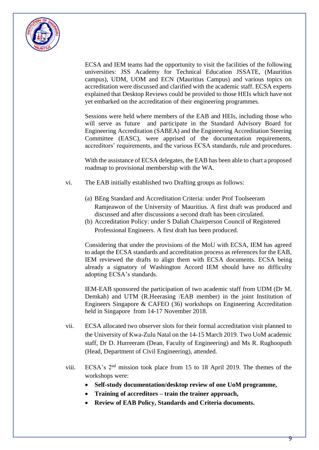

ECSA and IEM teams had the opportunity to visit the facilities of the following universities: JSS Academy for Technical Education JSSATE, (Mauritius campus), UDM, UOM and ECN (Mauritius Campus) and various topics on accreditation were discussed and clarified with the academic staff. ECSA experts explained that Desktop Reviews could be provided to those HEIs which have not yet embarked on the accreditation of their engineering programmes.

Sessions were held where members of the EAB and HEIs, including those who will serve as future and participate in the Standard Advisory Board for Engineering Accreditation (SABEA) and the Engineering Accreditation Steering Committee (EASC), were apprised of the documentation requirements, accreditors' requirements, and the various ECSA standards, rule and procedures.

With the assistance of ECSA delegates, the EAB has been able to chart a proposed roadmap to provisional membership with the WA.

- vi. The EAB initially established two Drafting groups as follows:
	- (a) BEng Standard and Accreditation Criteria: under Prof Toolseeram Ramjeawon of the University of Mauritius. A first draft was produced and discussed and after discussions a second draft has been circulated.
	- (b) Accreditation Policy: under S Daliah Chairperson Council of Registered Professional Engineers. A first draft has been produced.

Considering that under the provisions of the MoU with ECSA, IEM has agreed to adapt the ECSA standards and accreditation process as references for the EAB, IEM reviewed the drafts to align them with ECSA documents. ECSA being already a signatory of Washington Accord IEM should have no difficulty adopting ECSA's standards.

IEM-EAB sponsored the participation of two academic staff from UDM (Dr M. Demkah) and UTM (R.Heerasing /EAB member) in the joint Institution of Engineers Singapore & CAFEO (36) workshops on Engineering Accreditation held in Singapore from 14-17 November 2018.

- vii. ECSA allocated two observer slots for their formal accreditation visit planned to the University of Kwa-Zulu Natal on the 14-15 March 2019. Two UoM academic staff, Dr D. Hurreeram (Dean, Faculty of Engineering) and Ms R. Rughooputh (Head, Department of Civil Engineering), attended.
- viii. ECSA's 2nd mission took place from 15 to 18 April 2019. The themes of the workshops were:
	- **Self-study documentation/desktop review of one UoM programme,**
	- **Training of accreditors – train the trainer approach,**
	- **Review of EAB Policy, Standards and Criteria documents.**

9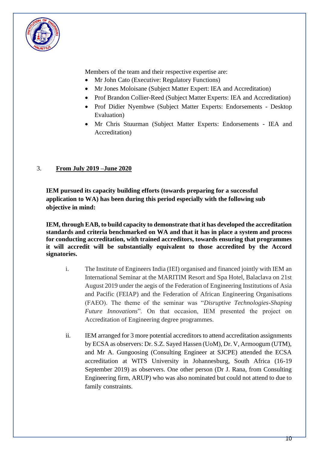

Members of the team and their respective expertise are:

- Mr John Cato (Executive: Regulatory Functions)
- Mr Jones Moloisane (Subject Matter Expert: IEA and Accreditation)
- Prof Brandon Collier-Reed (Subject Matter Experts: IEA and Accreditation)
- Prof Didier Nyembwe (Subject Matter Experts: Endorsements Desktop Evaluation)
- Mr Chris Stuurman (Subject Matter Experts: Endorsements IEA and Accreditation)

# 3. **From July 2019 –June 2020**

**IEM pursued its capacity building efforts (towards preparing for a successful application to WA) has been during this period especially with the following sub objective in mind:**

**IEM, through EAB, to build capacity to demonstrate that it has developed the accreditation standards and criteria benchmarked on WA and that it has in place a system and process for conducting accreditation, with trained accreditors, towards ensuring that programmes it will accredit will be substantially equivalent to those accredited by the Accord signatories.** 

- i. The Institute of Engineers India (IEI) organised and financed jointly with IEM an International Seminar at the MARITIM Resort and Spa Hotel, Balaclava on 21st August 2019 under the aegis of the Federation of Engineering Institutions of Asia and Pacific (FEIAP) and the Federation of African Engineering Organisations (FAEO). The theme of the seminar was "*Disruptive Technologies-Shaping Future Innovations*". On that occasion, IEM presented the project on Accreditation of Engineering degree programmes.
- ii. IEM arranged for 3 more potential accreditors to attend accreditation assignments by ECSA as observers: Dr. S.Z. Sayed Hassen (UoM), Dr. V, Armoogum (UTM), and Mr A. Gungoosing (Consulting Engineer at SJCPE) attended the ECSA accreditation at WITS University in Johannesburg, South Africa (16-19 September 2019) as observers. One other person (Dr J. Rana, from Consulting Engineering firm, ARUP) who was also nominated but could not attend to due to family constraints.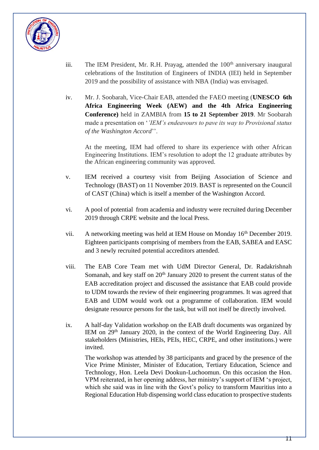

- iii. The IEM President, Mr. R.H. Prayag, attended the  $100<sup>th</sup>$  anniversary inaugural celebrations of the Institution of Engineers of INDIA (IEI) held in September 2019 and the possibility of assistance with NBA (India) was envisaged.
- iv. Mr. J. Soobarah, Vice-Chair EAB, attended the FAEO meeting (**UNESCO 6th Africa Engineering Week (AEW) and the 4th Africa Engineering Conference)** held in ZAMBIA from **15 to 21 September 2019**. Mr Soobarah made a presentation on '*'IEM's endeavours to pave its way to Provisional status of the Washington Accord*''.

At the meeting, IEM had offered to share its experience with other African Engineering Institutions. IEM's resolution to adopt the 12 graduate attributes by the African engineering community was approved.

- v. IEM received a courtesy visit from Beijing Association of Science and Technology (BAST) on 11 November 2019. BAST is represented on the Council of CAST (China) which is itself a member of the Washington Accord.
- vi. A pool of potential from academia and industry were recruited during December 2019 through CRPE website and the local Press.
- vii. A networking meeting was held at IEM House on Monday 16<sup>th</sup> December 2019. Eighteen participants comprising of members from the EAB, SABEA and EASC and 3 newly recruited potential accreditors attended.
- viii. The EAB Core Team met with UdM Director General, Dr. Radakrishnah Somanah, and key staff on  $20<sup>th</sup>$  January 2020 to present the current status of the EAB accreditation project and discussed the assistance that EAB could provide to UDM towards the review of their engineering programmes. It was agreed that EAB and UDM would work out a programme of collaboration. IEM would designate resource persons for the task, but will not itself be directly involved.
- ix. A half-day Validation workshop on the EAB draft documents was organized by IEM on 29th January 2020, in the context of the World Engineering Day. All stakeholders (Ministries, HEIs, PEIs, HEC, CRPE, and other institutions.) were invited.

The workshop was attended by 38 participants and graced by the presence of the Vice Prime Minister, Minister of Education, Tertiary Education, Science and Technology, Hon. Leela Devi Dookun-Luchoomun. On this occasion the Hon. VPM reiterated, in her opening address, her ministry's support of IEM 's project, which she said was in line with the Govt's policy to transform Mauritius into a Regional Education Hub dispensing world class education to prospective students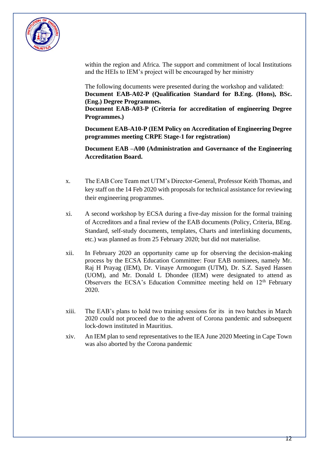

within the region and Africa. The support and commitment of local Institutions and the HEIs to IEM's project will be encouraged by her ministry

The following documents were presented during the workshop and validated: **Document EAB-A02-P (Qualification Standard for B.Eng. (Hons), BSc. (Eng.) Degree Programmes.**

**Document EAB-A03-P (Criteria for accreditation of engineering Degree Programmes.)**

**Document EAB-A10-P (IEM Policy on Accreditation of Engineering Degree programmes meeting CRPE Stage-1 for registration)**

**Document EAB –A00 (Administration and Governance of the Engineering Accreditation Board.**

- x. The EAB Core Team met UTM's Director-General, Professor Keith Thomas, and key staff on the 14 Feb 2020 with proposals for technical assistance for reviewing their engineering programmes.
- xi. A second workshop by ECSA during a five-day mission for the formal training of Accreditors and a final review of the EAB documents (Policy, Criteria, BEng. Standard, self-study documents, templates, Charts and interlinking documents, etc.) was planned as from 25 February 2020; but did not materialise.
- xii. In February 2020 an opportunity came up for observing the decision-making process by the ECSA Education Committee: Four EAB nominees, namely Mr. Raj H Prayag (IEM), Dr. Vinaye Armoogum (UTM), Dr. S.Z. Sayed Hassen (UOM), and Mr. Donald L Dhondee (IEM) were designated to attend as Observers the ECSA's Education Committee meeting held on  $12<sup>th</sup>$  February 2020.
- xiii. The EAB's plans to hold two training sessions for its in two batches in March 2020 could not proceed due to the advent of Corona pandemic and subsequent lock-down instituted in Mauritius.
- xiv. An IEM plan to send representatives to the IEA June 2020 Meeting in Cape Town was also aborted by the Corona pandemic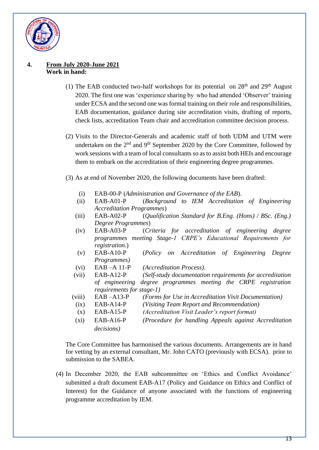

### **4. From July 2020-June 2021 Work in hand:**

- (1) The EAB conducted two-half workshops for its potential on  $28<sup>th</sup>$  and  $29<sup>th</sup>$  August 2020. The first one was 'experience sharing by who had attended 'Observer' training under ECSA and the second one was formal training on their role and responsibilities, EAB documentation, guidance during site accreditation visits, drafting of reports, check lists, accreditation Team chair and accreditation committee decision process.
- (2) Visits to the Director-Generals and academic staff of both UDM and UTM were undertaken on the  $2<sup>nd</sup>$  and  $9<sup>th</sup>$  September 2020 by the Core Committee, followed by work sessions with a team of local consultants so as to assist both HEIs and encourage them to embark on the accreditation of their engineering degree programmes.
- (3) As at end of November 2020, the following documents have been drafted:
	- (i) EAB-00-P (*Administration and Governance of the EAB*).
	- (ii) EAB-A01-P (*Background to IEM Accreditation of Engineering Accreditation Programmes*)
	- (iii) EAB-A02-P (*Qualification Standard for B.Eng. (Hons) / BSc. (Eng.) Degree Programmes*)
	- (iv) EAB-A03-P (*Criteria for accreditation of engineering degree programmes meeting Stage-1 CRPE's Educational Requirements for registration*.)
	- (v) EAB-A10-P (*Policy on Accreditation of Engineering Degree Programmes)*
	- (vi) EAB –A 11-P *(Accreditation Process).*
	- (vii) EAB-A12-P *(Self-study documentation requirements for accreditation of engineering degree programmes meeting the CRPE registration requirements for stage-1)*
	- (viii) EAB –A13-P *(Forms for Use in Accreditation Visit Documentation)*
		- (ix) EAB-A14-P *(Visiting Team Report and Recommendation)*
		- (x) EAB-A15-P *(Accreditation Visit Leader's report format)*
	- (xi) EAB-A16-P *(Procedure for handling Appeals against Accreditation decisions)*

The Core Committee has harmonised the various documents. Arrangements are in hand for vetting by an external consultant, Mr. John CATO (previously with ECSA). prior to submission to the SABEA.

(4) In December 2020, the EAB subcommittee on 'Ethics and Conflict Avoidance' submitted a draft document EAB-A17 (Policy and Guidance on Ethics and Conflict of Interest) for the Guidance of anyone associated with the functions of engineering programme accreditation by IEM.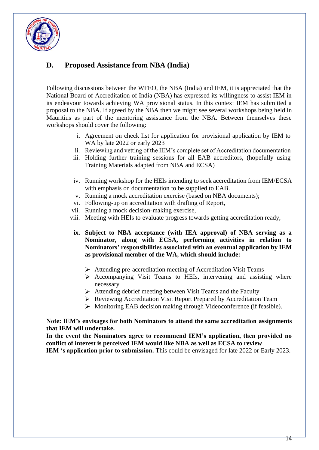

# **D. Proposed Assistance from NBA (India)**

Following discussions between the WFEO, the NBA (India) and IEM, it is appreciated that the National Board of Accreditation of India (NBA) has expressed its willingness to assist IEM in its endeavour towards achieving WA provisional status. In this context IEM has submitted a proposal to the NBA. If agreed by the NBA then we might see several workshops being held in Mauritius as part of the mentoring assistance from the NBA. Between themselves these workshops should cover the following:

- i. Agreement on check list for application for provisional application by IEM to WA by late 2022 or early 2023
- ii. Reviewing and vetting of the IEM's complete set of Accreditation documentation
- iii. Holding further training sessions for all EAB accreditors, (hopefully using Training Materials adapted from NBA and ECSA)
- iv. Running workshop for the HEIs intending to seek accreditation from IEM/ECSA with emphasis on documentation to be supplied to EAB.
- v. Running a mock accreditation exercise (based on NBA documents);
- vi. Following-up on accreditation with drafting of Report,
- vii. Running a mock decision-making exercise,
- viii. Meeting with HEIs to evaluate progress towards getting accreditation ready,
- **ix. Subject to NBA acceptance (with IEA approval) of NBA serving as a Nominator, along with ECSA, performing activities in relation to Nominators' responsibilities associated with an eventual application by IEM as provisional member of the WA, which should include:**
	- Attending pre-accreditation meeting of Accreditation Visit Teams
	- $\triangleright$  Accompanying Visit Teams to HEIs, intervening and assisting where necessary
	- $\triangleright$  Attending debrief meeting between Visit Teams and the Faculty
	- Reviewing Accreditation Visit Report Prepared by Accreditation Team
	- Monitoring EAB decision making through Videoconference (if feasible).

#### **Note: IEM's envisages for both Nominators to attend the same accreditation assignments that IEM will undertake.**

**In the event the Nominators agree to recommend IEM's application, then provided no conflict of interest is perceived IEM would like NBA as well as ECSA to review IEM** 's application prior to submission. This could be envisaged for late 2022 or Early 2023.